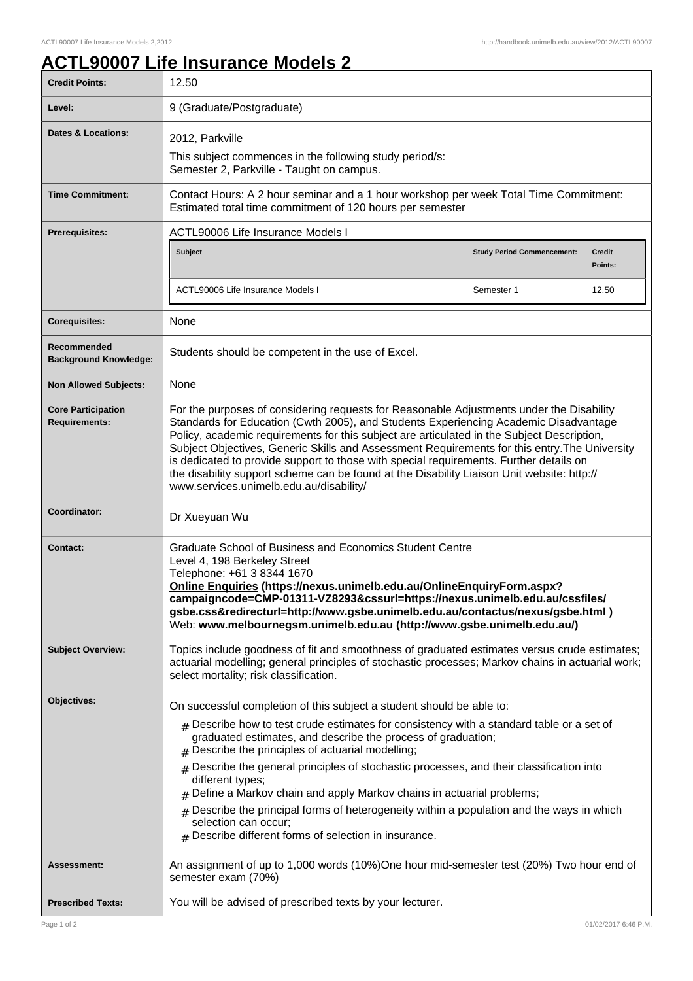## **ACTL90007 Life Insurance Models 2**

| <b>Credit Points:</b>                             | 12.50                                                                                                                                                                                                                                                                                                                                                                                                                                                                                                                                                                                                              |                                   |                      |  |
|---------------------------------------------------|--------------------------------------------------------------------------------------------------------------------------------------------------------------------------------------------------------------------------------------------------------------------------------------------------------------------------------------------------------------------------------------------------------------------------------------------------------------------------------------------------------------------------------------------------------------------------------------------------------------------|-----------------------------------|----------------------|--|
| Level:                                            | 9 (Graduate/Postgraduate)                                                                                                                                                                                                                                                                                                                                                                                                                                                                                                                                                                                          |                                   |                      |  |
| <b>Dates &amp; Locations:</b>                     | 2012, Parkville<br>This subject commences in the following study period/s:<br>Semester 2, Parkville - Taught on campus.                                                                                                                                                                                                                                                                                                                                                                                                                                                                                            |                                   |                      |  |
| <b>Time Commitment:</b>                           | Contact Hours: A 2 hour seminar and a 1 hour workshop per week Total Time Commitment:<br>Estimated total time commitment of 120 hours per semester                                                                                                                                                                                                                                                                                                                                                                                                                                                                 |                                   |                      |  |
| Prerequisites:                                    | <b>ACTL90006 Life Insurance Models I</b>                                                                                                                                                                                                                                                                                                                                                                                                                                                                                                                                                                           |                                   |                      |  |
|                                                   | Subject                                                                                                                                                                                                                                                                                                                                                                                                                                                                                                                                                                                                            | <b>Study Period Commencement:</b> | Credit<br>Points:    |  |
|                                                   | ACTL90006 Life Insurance Models I                                                                                                                                                                                                                                                                                                                                                                                                                                                                                                                                                                                  | Semester 1                        | 12.50                |  |
| <b>Corequisites:</b>                              | None                                                                                                                                                                                                                                                                                                                                                                                                                                                                                                                                                                                                               |                                   |                      |  |
| Recommended<br><b>Background Knowledge:</b>       | Students should be competent in the use of Excel.                                                                                                                                                                                                                                                                                                                                                                                                                                                                                                                                                                  |                                   |                      |  |
| <b>Non Allowed Subjects:</b>                      | <b>None</b>                                                                                                                                                                                                                                                                                                                                                                                                                                                                                                                                                                                                        |                                   |                      |  |
| <b>Core Participation</b><br><b>Requirements:</b> | For the purposes of considering requests for Reasonable Adjustments under the Disability<br>Standards for Education (Cwth 2005), and Students Experiencing Academic Disadvantage<br>Policy, academic requirements for this subject are articulated in the Subject Description,<br>Subject Objectives, Generic Skills and Assessment Requirements for this entry. The University<br>is dedicated to provide support to those with special requirements. Further details on<br>the disability support scheme can be found at the Disability Liaison Unit website: http://<br>www.services.unimelb.edu.au/disability/ |                                   |                      |  |
| Coordinator:                                      | Dr Xueyuan Wu                                                                                                                                                                                                                                                                                                                                                                                                                                                                                                                                                                                                      |                                   |                      |  |
| <b>Contact:</b>                                   | Graduate School of Business and Economics Student Centre<br>Level 4, 198 Berkeley Street<br>Telephone: +61 3 8344 1670<br>Online Enquiries (https://nexus.unimelb.edu.au/OnlineEnquiryForm.aspx?<br>campaigncode=CMP-01311-VZ8293&cssurl=https://nexus.unimelb.edu.au/cssfiles/<br>gsbe.css&redirecturl=http://www.gsbe.unimelb.edu.au/contactus/nexus/gsbe.html)<br>Web: www.melbournegsm.unimelb.edu.au (http://www.gsbe.unimelb.edu.au/)                                                                                                                                                                        |                                   |                      |  |
| <b>Subject Overview:</b>                          | Topics include goodness of fit and smoothness of graduated estimates versus crude estimates;<br>actuarial modelling; general principles of stochastic processes; Markov chains in actuarial work;<br>select mortality; risk classification.                                                                                                                                                                                                                                                                                                                                                                        |                                   |                      |  |
| Objectives:                                       | On successful completion of this subject a student should be able to:<br>$_{\#}$ Describe how to test crude estimates for consistency with a standard table or a set of<br>graduated estimates, and describe the process of graduation;<br>$#$ Describe the principles of actuarial modelling;<br>Describe the general principles of stochastic processes, and their classification into<br>different types;                                                                                                                                                                                                       |                                   |                      |  |
|                                                   | Define a Markov chain and apply Markov chains in actuarial problems;<br>#<br>Describe the principal forms of heterogeneity within a population and the ways in which<br>selection can occur;<br>$#$ Describe different forms of selection in insurance.                                                                                                                                                                                                                                                                                                                                                            |                                   |                      |  |
| <b>Assessment:</b>                                | An assignment of up to 1,000 words (10%)One hour mid-semester test (20%) Two hour end of<br>semester exam (70%)                                                                                                                                                                                                                                                                                                                                                                                                                                                                                                    |                                   |                      |  |
| <b>Prescribed Texts:</b>                          | You will be advised of prescribed texts by your lecturer.                                                                                                                                                                                                                                                                                                                                                                                                                                                                                                                                                          |                                   |                      |  |
| Page 1 of 2                                       |                                                                                                                                                                                                                                                                                                                                                                                                                                                                                                                                                                                                                    |                                   | 01/02/2017 6:46 P.M. |  |